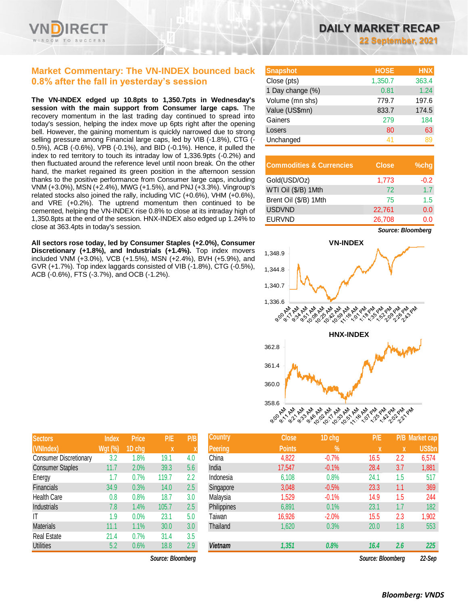

### **Market Commentary: The VN-INDEX bounced back 0.8% after the fall in yesterday's session**

**The VN-INDEX edged up 10.8pts to 1,350.7pts in Wednesday's session with the main support from Consumer large caps.** The recovery momentum in the last trading day continued to spread into today's session, helping the index move up 6pts right after the opening bell. However, the gaining momentum is quickly narrowed due to strong selling pressure among Financial large caps, led by VIB (-1.8%), CTG (- 0.5%), ACB (-0.6%), VPB (-0.1%), and BID (-0.1%). Hence, it pulled the index to red territory to touch its intraday low of 1,336.9pts (-0.2%) and then fluctuated around the reference level until noon break. On the other hand, the market regained its green position in the afternoon session thanks to the positive performance from Consumer large caps, including VNM (+3.0%), MSN (+2.4%), MWG (+1.5%), and PNJ (+3.3%). Vingroup's related stocks also joined the rally, including VIC (+0.6%), VHM (+0.6%), and VRE (+0.2%). The uptrend momentum then continued to be cemented, helping the VN-INDEX rise 0.8% to close at its intraday high of 1,350.8pts at the end of the session. HNX-INDEX also edged up 1.24% to close at 363.4pts in today's session.

**All sectors rose today, led by Consumer Staples (+2.0%), Consumer Discretionary (+1.8%), and Industrials (+1.4%).** Top index movers included VNM (+3.0%), VCB (+1.5%), MSN (+2.4%), BVH (+5.9%), and GVR (+1.7%). Top index laggards consisted of VIB (-1.8%), CTG (-0.5%), ACB (-0.6%), FTS (-3.7%), and OCB (-1.2%).

| <b>Snapshot</b>  | <b>HOSE</b> | <b>HNX</b> |
|------------------|-------------|------------|
| Close (pts)      | 1,350.7     | 363.4      |
| 1 Day change (%) | 0.81        | 1.24       |
| Volume (mn shs)  | 779.7       | 197.6      |
| Value (US\$mn)   | 833.7       | 174.5      |
| Gainers          | 279         | 184        |
| Losers           | 80          | 63         |
| Unchanged        | $\Delta$ 1  |            |

| <b>Commodities &amp; Currencies</b> | <b>Close</b> | $%$ chg |
|-------------------------------------|--------------|---------|
| Gold(USD/Oz)                        | 1,773        | $-0.2$  |
| WTI Oil (\$/B) 1Mth                 | 72           | 1.7     |
| Brent Oil (\$/B) 1Mth               | 75           | 1.5     |
| <b>USDVND</b>                       | 22,761       | 0.0     |
| <b>EURVND</b>                       | 26,708       | 0.0     |



| Sectors                       | <b>Index</b>   | <b>Price</b> | P/E   | P/B |
|-------------------------------|----------------|--------------|-------|-----|
| (VNIndex)                     | <b>Wgt (%)</b> | 1D chg       | X     | X   |
| <b>Consumer Discretionary</b> | 3.2            | 1.8%         | 19.1  | 4.0 |
| <b>Consumer Staples</b>       | 11.7           | 2.0%         | 39.3  | 5.6 |
| Energy                        | 1.7            | 0.7%         | 119.7 | 2.2 |
| Financials                    | 34.9           | 0.3%         | 14.0  | 2.5 |
| <b>Health Care</b>            | 0.8            | 0.8%         | 18.7  | 3.0 |
| Industrials                   | 7.8            | 1.4%         | 105.7 | 2.5 |
| IT                            | 1.9            | 0.0%         | 23.1  | 5.0 |
| <b>Materials</b>              | 11.1           | 1.1%         | 30.0  | 3.0 |
| <b>Real Estate</b>            | 21.4           | 0.7%         | 31.4  | 3.5 |
| <b>Utilities</b>              | 5.2            | 0.6%         | 18.8  | 2.9 |

*Source: Bloomberg Source: Bloomberg 22-Sep*

| <b>Sectors</b>                | <b>Index</b>   | <b>Price</b> | P/E               | P/B | <b>Country</b> | <b>Close</b>  | 1D chg  | P/E               |     | P/B Market cap, |
|-------------------------------|----------------|--------------|-------------------|-----|----------------|---------------|---------|-------------------|-----|-----------------|
| (VNIndex)                     | <b>Wgt (%)</b> | 1D chg       | $\boldsymbol{x}$  |     | <b>Peering</b> | <b>Points</b> | $\%$    |                   | X   | <b>US\$bn</b>   |
| <b>Consumer Discretionary</b> | 3.2            | 1.8%         | 19.1              | 4.0 | China          | 4,822         | $-0.7%$ | 16.5              | 2.2 | 6,574           |
| <b>Consumer Staples</b>       | 11.7           | 2.0%         | 39.3              | 5.6 | India          | 17,547        | $-0.1%$ | 28.4              | 3.7 | 1,881           |
| Energy                        | 1.7            | 0.7%         | 119.7             | 2.2 | Indonesia      | 6,108         | 0.8%    | 24.7              | 1.5 | 517             |
| <b>Financials</b>             | 34.9           | 0.3%         | 14.0              | 2.5 | Singapore      | 3,048         | $-0.5%$ | 23.3              | 1.1 | 369             |
| <b>Health Care</b>            | $0.8\,$        | 0.8%         | 18.7              | 3.0 | Malaysia       | 1,529         | $-0.1%$ | 14.9              | 1.5 | 244             |
| Industrials                   | 7.8            | 1.4%         | 105.7             | 2.5 | Philippines    | 6,891         | 0.1%    | 23.1              | 1.7 | 182             |
| IT                            | 1.9            | 0.0%         | 23.1              | 5.0 | Taiwan         | 16,926        | $-2.0%$ | 15.5              | 2.3 | ,902            |
| <b>Materials</b>              | 11.1           | 1.1%         | 30.0              | 3.0 | Thailand       | 1,620         | 0.3%    | 20.0              | 1.8 | 553             |
| Real Estate                   | 21.4           | 0.7%         | 31.4              | 3.5 |                |               |         |                   |     |                 |
| <b>Utilities</b>              | 5.2            | 0.6%         | 18.8              | 2.9 | <b>Vietnam</b> | 1,351         | 0.8%    | 16.4              | 2.6 | 225             |
|                               |                |              | Source: Bloomberg |     |                |               |         | Source: Bloomberg |     | $22-Sen$        |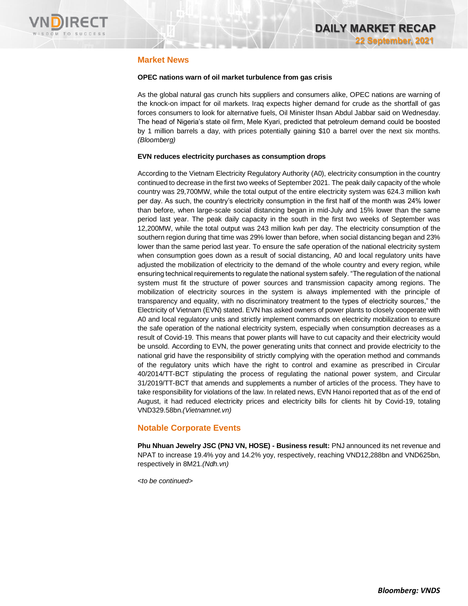

### **Market News**

### **OPEC nations warn of oil market turbulence from gas crisis**

As the global natural gas crunch hits suppliers and consumers alike, OPEC nations are warning of the knock-on impact for oil markets. Iraq expects higher demand for crude as the shortfall of gas forces consumers to look for alternative fuels, Oil Minister Ihsan Abdul Jabbar said on Wednesday. The head of Nigeria's state oil firm, Mele Kyari, predicted that petroleum demand could be boosted by 1 million barrels a day, with prices potentially gaining \$10 a barrel over the next six months. *(Bloomberg)*

### **EVN reduces electricity purchases as consumption drops**

According to the Vietnam Electricity Regulatory Authority (A0), electricity consumption in the country continued to decrease in the first two weeks of September 2021. The peak daily capacity of the whole country was 29,700MW, while the total output of the entire electricity system was 624.3 million kwh per day. As such, the country's electricity consumption in the first half of the month was 24% lower than before, when large-scale social distancing began in mid-July and 15% lower than the same period last year. The peak daily capacity in the south in the first two weeks of September was 12,200MW, while the total output was 243 million kwh per day. The electricity consumption of the southern region during that time was 29% lower than before, when social distancing began and 23% lower than the same period last year. To ensure the safe operation of the national electricity system when consumption goes down as a result of social distancing, A0 and local regulatory units have adjusted the mobilization of electricity to the demand of the whole country and every region, while ensuring technical requirements to regulate the national system safely. "The regulation of the national system must fit the structure of power sources and transmission capacity among regions. The mobilization of electricity sources in the system is always implemented with the principle of transparency and equality, with no discriminatory treatment to the types of electricity sources," the Electricity of Vietnam (EVN) stated. EVN has asked owners of power plants to closely cooperate with A0 and local regulatory units and strictly implement commands on electricity mobilization to ensure the safe operation of the national electricity system, especially when consumption decreases as a result of Covid-19. This means that power plants will have to cut capacity and their electricity would be unsold. According to EVN, the power generating units that connect and provide electricity to the national grid have the responsibility of strictly complying with the operation method and commands of the regulatory units which have the right to control and examine as prescribed in Circular 40/2014/TT-BCT stipulating the process of regulating the national power system, and Circular 31/2019/TT-BCT that amends and supplements a number of articles of the process. They have to take responsibility for violations of the law. In related news, EVN Hanoi reported that as of the end of August, it had reduced electricity prices and electricity bills for clients hit by Covid-19, totaling VND329.58bn.*(Vietnamnet.vn)*

### **Notable Corporate Events**

**Phu Nhuan Jewelry JSC (PNJ VN, HOSE) - Business result:** PNJ announced its net revenue and NPAT to increase 19.4% yoy and 14.2% yoy, respectively, reaching VND12,288bn and VND625bn, respectively in 8M21.*(Ndh.vn)*

*<to be continued>*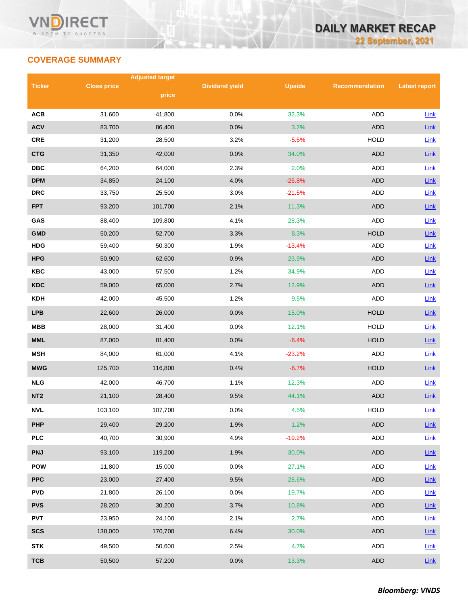# **COVERAGE SUMMARY**

|                 |                    | <b>Adjusted target</b> |                       |               |                       |                      |  |
|-----------------|--------------------|------------------------|-----------------------|---------------|-----------------------|----------------------|--|
| <b>Ticker</b>   | <b>Close price</b> | price                  | <b>Dividend yield</b> | <b>Upside</b> | <b>Recommendation</b> | <b>Latest report</b> |  |
|                 |                    |                        |                       |               |                       |                      |  |
| <b>ACB</b>      | 31,600             | 41,800                 | 0.0%                  | 32.3%         | ADD                   | Link                 |  |
| <b>ACV</b>      | 83,700             | 86,400                 | 0.0%                  | 3.2%          | <b>ADD</b>            | Link                 |  |
| CRE             | 31,200             | 28,500                 | 3.2%                  | $-5.5%$       | <b>HOLD</b>           | Link                 |  |
| <b>CTG</b>      | 31,350             | 42,000                 | 0.0%                  | 34.0%         | <b>ADD</b>            | Link                 |  |
| <b>DBC</b>      | 64,200             | 64,000                 | 2.3%                  | 2.0%          | ADD                   | Link                 |  |
| <b>DPM</b>      | 34,850             | 24,100                 | 4.0%                  | $-26.8%$      | <b>ADD</b>            | Link                 |  |
| <b>DRC</b>      | 33,750             | 25,500                 | 3.0%                  | $-21.5%$      | ADD                   | Link                 |  |
| <b>FPT</b>      | 93,200             | 101,700                | 2.1%                  | 11.3%         | <b>ADD</b>            | Link                 |  |
| GAS             | 88,400             | 109,800                | 4.1%                  | 28.3%         | <b>ADD</b>            | Link                 |  |
| <b>GMD</b>      | 50,200             | 52,700                 | 3.3%                  | 8.3%          | <b>HOLD</b>           | Link                 |  |
| <b>HDG</b>      | 59,400             | 50,300                 | 1.9%                  | $-13.4%$      | ADD                   | Link                 |  |
| <b>HPG</b>      | 50,900             | 62,600                 | 0.9%                  | 23.9%         | <b>ADD</b>            | Link                 |  |
| <b>KBC</b>      | 43,000             | 57,500                 | 1.2%                  | 34.9%         | ADD                   | <b>Link</b>          |  |
| <b>KDC</b>      | 59,000             | 65,000                 | 2.7%                  | 12.9%         | <b>ADD</b>            | Link                 |  |
| <b>KDH</b>      | 42,000             | 45,500                 | 1.2%                  | 9.5%          | ADD                   | <b>Link</b>          |  |
| <b>LPB</b>      | 22,600             | 26,000                 | 0.0%                  | 15.0%         | <b>HOLD</b>           | Link                 |  |
| <b>MBB</b>      | 28,000             | 31,400                 | 0.0%                  | 12.1%         | <b>HOLD</b>           | <b>Link</b>          |  |
| <b>MML</b>      | 87,000             | 81,400                 | 0.0%                  | $-6.4%$       | <b>HOLD</b>           | Link                 |  |
| <b>MSH</b>      | 84,000             | 61,000                 | 4.1%                  | $-23.2%$      | ADD                   | Link                 |  |
| <b>MWG</b>      | 125,700            | 116,800                | 0.4%                  | $-6.7%$       | <b>HOLD</b>           | <b>Link</b>          |  |
| <b>NLG</b>      | 42,000             | 46,700                 | 1.1%                  | 12.3%         | ADD                   | <b>Link</b>          |  |
| NT <sub>2</sub> | 21,100             | 28,400                 | 9.5%                  | 44.1%         | <b>ADD</b>            | Link                 |  |
| <b>NVL</b>      | 103,100            | 107,700                | 0.0%                  | 4.5%          | <b>HOLD</b>           | Link                 |  |
| <b>PHP</b>      | 29,400             | 29,200                 | 1.9%                  | 1.2%          | ADD                   | Link                 |  |
| <b>PLC</b>      | 40,700             | 30,900                 | 4.9%                  | $-19.2%$      | ADD                   | Link                 |  |
| <b>PNJ</b>      | 93,100             | 119,200                | 1.9%                  | 30.0%         | <b>ADD</b>            | <b>Link</b>          |  |
| <b>POW</b>      | 11,800             | 15,000                 | 0.0%                  | 27.1%         | ADD                   | <b>Link</b>          |  |
| <b>PPC</b>      | 23,000             | 27,400                 | 9.5%                  | 28.6%         | ADD                   | Link                 |  |
| <b>PVD</b>      | 21,800             | 26,100                 | 0.0%                  | 19.7%         | ADD                   | <b>Link</b>          |  |
| <b>PVS</b>      | 28,200             | 30,200                 | 3.7%                  | 10.8%         | <b>ADD</b>            | <b>Link</b>          |  |
| <b>PVT</b>      | 23,950             | 24,100                 | 2.1%                  | 2.7%          | ADD                   | Link                 |  |
| <b>SCS</b>      | 138,000            | 170,700                | 6.4%                  | 30.0%         | ADD                   | $Link$               |  |
| <b>STK</b>      | 49,500             | 50,600                 | 2.5%                  | 4.7%          | ADD                   | Link                 |  |
| <b>TCB</b>      | 50,500             | 57,200                 | 0.0%                  | 13.3%         | <b>ADD</b>            | Link                 |  |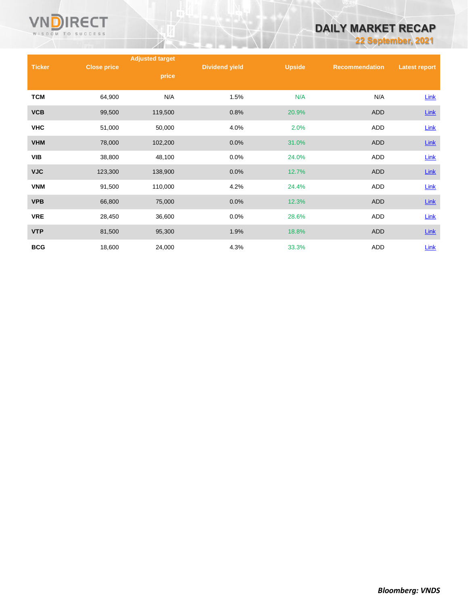

# **DAILY MARKET RECAP**

**22 September, 2021**

|               |                    | <b>Adjusted target</b> |                       |               |                       |                      |
|---------------|--------------------|------------------------|-----------------------|---------------|-----------------------|----------------------|
| <b>Ticker</b> | <b>Close price</b> | price                  | <b>Dividend yield</b> | <b>Upside</b> | <b>Recommendation</b> | <b>Latest report</b> |
| <b>TCM</b>    | 64,900             | N/A                    | 1.5%                  | N/A           | N/A                   | <b>Link</b>          |
| <b>VCB</b>    | 99,500             | 119,500                | 0.8%                  | 20.9%         | ADD                   | Link                 |
| <b>VHC</b>    | 51,000             | 50,000                 | 4.0%                  | 2.0%          | ADD                   | Link                 |
| <b>VHM</b>    | 78,000             | 102,200                | 0.0%                  | 31.0%         | <b>ADD</b>            | $Link$               |
| <b>VIB</b>    | 38,800             | 48,100                 | 0.0%                  | 24.0%         | <b>ADD</b>            | Link                 |
| <b>VJC</b>    | 123,300            | 138,900                | 0.0%                  | 12.7%         | <b>ADD</b>            | Link                 |
| <b>VNM</b>    | 91,500             | 110,000                | 4.2%                  | 24.4%         | ADD                   | <b>Link</b>          |
| <b>VPB</b>    | 66,800             | 75,000                 | 0.0%                  | 12.3%         | <b>ADD</b>            | Link                 |
| <b>VRE</b>    | 28,450             | 36,600                 | 0.0%                  | 28.6%         | ADD                   | <b>Link</b>          |
| <b>VTP</b>    | 81,500             | 95,300                 | 1.9%                  | 18.8%         | <b>ADD</b>            | $Link$               |
| <b>BCG</b>    | 18,600             | 24,000                 | 4.3%                  | 33.3%         | ADD                   | Link                 |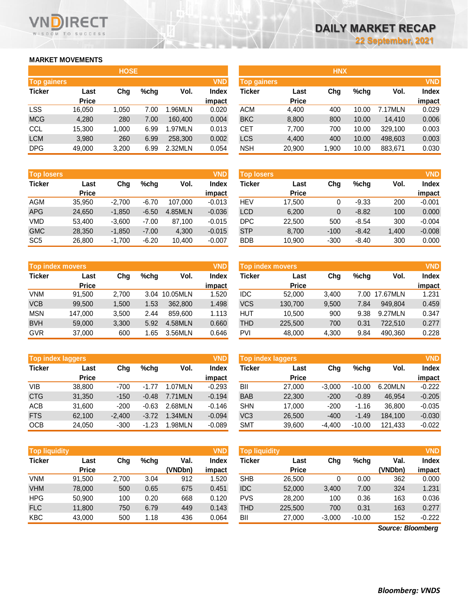### **MARKET MOVEMENTS**

WISDOM TO SUCCESS

**RECT** 

|                    | <b>HOSE</b>  |       |      |         |            |  |  |  |  |  |
|--------------------|--------------|-------|------|---------|------------|--|--|--|--|--|
| <b>Top gainers</b> |              |       |      |         | <b>VND</b> |  |  |  |  |  |
| <b>Ticker</b>      | Last         | Cha   | %chq | Vol.    | Index      |  |  |  |  |  |
|                    | <b>Price</b> |       |      |         | impact     |  |  |  |  |  |
| <b>LSS</b>         | 16,050       | 1,050 | 7.00 | 1.96MLN | 0.020      |  |  |  |  |  |
| <b>MCG</b>         | 4,280        | 280   | 7.00 | 160,400 | 0.004      |  |  |  |  |  |
| <b>CCL</b>         | 15,300       | 1,000 | 6.99 | 1.97MLN | 0.013      |  |  |  |  |  |
| <b>LCM</b>         | 3,980        | 260   | 6.99 | 258,300 | 0.002      |  |  |  |  |  |
| <b>DPG</b>         | 49,000       | 3,200 | 6.99 | 2.32MLN | 0.054      |  |  |  |  |  |

| <b>Top losers</b> |              |          |         |         | <b>VND</b>   |
|-------------------|--------------|----------|---------|---------|--------------|
| <b>Ticker</b>     | Last         | Cha      | %chq    | Vol.    | <b>Index</b> |
|                   | <b>Price</b> |          |         |         | impact       |
| <b>AGM</b>        | 35,950       | $-2,700$ | $-6.70$ | 107,000 | $-0.013$     |
| <b>APG</b>        | 24,650       | $-1,850$ | $-6.50$ | 4.85MLN | $-0.036$     |
| VMD               | 53,400       | $-3,600$ | $-7.00$ | 87,100  | $-0.015$     |
| <b>GMC</b>        | 28,350       | $-1,850$ | $-7.00$ | 4,300   | $-0.015$     |
| SC <sub>5</sub>   | 26,800       | $-1,700$ | $-6.20$ | 10,400  | $-0.007$     |

| <b>Top index movers</b> |              |       |      |          |        |  |  |  |
|-------------------------|--------------|-------|------|----------|--------|--|--|--|
| <b>Ticker</b>           | Last         | Cha   | %chq | Vol.     | Index  |  |  |  |
|                         | <b>Price</b> |       |      |          | impact |  |  |  |
| <b>VNM</b>              | 91,500       | 2,700 | 3.04 | 10.05MLN | 1.520  |  |  |  |
| <b>VCB</b>              | 99,500       | 1,500 | 1.53 | 362,800  | 1.498  |  |  |  |
| <b>MSN</b>              | 147.000      | 3,500 | 2.44 | 859.600  | 1.113  |  |  |  |
| <b>BVH</b>              | 59,000       | 3,300 | 5.92 | 4.58MLN  | 0.660  |  |  |  |
| <b>GVR</b>              | 37,000       | 600   | 1.65 | 3.56MLN  | 0.646  |  |  |  |

|               | <b>Top index laggers</b> |          |         |         |              |  |  |  |
|---------------|--------------------------|----------|---------|---------|--------------|--|--|--|
| <b>Ticker</b> | Last                     | Cha      | %chq    | Vol.    | <b>Index</b> |  |  |  |
|               | <b>Price</b>             |          |         |         | impact       |  |  |  |
| VIB           | 38,800                   | $-700$   | $-1.77$ | 1.07MLN | $-0.293$     |  |  |  |
| <b>CTG</b>    | 31,350                   | $-150$   | $-0.48$ | 7.71MLN | $-0.194$     |  |  |  |
| <b>ACB</b>    | 31,600                   | $-200$   | $-0.63$ | 2.68MLN | $-0.146$     |  |  |  |
| <b>FTS</b>    | 62,100                   | $-2,400$ | $-3.72$ | 1.34MLN | $-0.094$     |  |  |  |
| OCB           | 24,050                   | $-300$   | $-1.23$ | 1.98MLN | $-0.089$     |  |  |  |

| <b>Top liquidity</b> |              |       |      |         | <b>VND</b> |
|----------------------|--------------|-------|------|---------|------------|
| <b>Ticker</b>        | Last         | Cha   | %chq | Val.    | Index      |
|                      | <b>Price</b> |       |      | (VNDbn) | impact     |
| <b>VNM</b>           | 91,500       | 2,700 | 3.04 | 912     | 1.520      |
| <b>VHM</b>           | 78,000       | 500   | 0.65 | 675     | 0.451      |
| <b>HPG</b>           | 50,900       | 100   | 0.20 | 668     | 0.120      |
| <b>FLC</b>           | 11,800       | 750   | 6.79 | 449     | 0.143      |
| <b>KBC</b>           | 43,000       | 500   | 1.18 | 436     | 0.064      |

|                    |              | <b>HOSE</b> |         |         |            |                    |              | <b>HNX</b> |         |         |              |
|--------------------|--------------|-------------|---------|---------|------------|--------------------|--------------|------------|---------|---------|--------------|
| <b>Top gainers</b> |              |             |         |         | <b>VND</b> | <b>Top gainers</b> |              |            |         |         | <b>VND</b>   |
| Ticker             | Last         | Chg         | $%$ chg | Vol.    | Index      | Ticker             | Last         | Chg        | $%$ chg | Vol.    | <b>Index</b> |
|                    | <b>Price</b> |             |         |         | impact     |                    | <b>Price</b> |            |         |         | impact       |
| LSS                | 16,050       | 1.050       | 7.00    | .96MLN  | 0.020      | <b>ACM</b>         | 4,400        | 400        | 10.00   | 7.17MLN | 0.029        |
| <b>MCG</b>         | 4,280        | 280         | 7.00    | 160.400 | 0.004      | <b>BKC</b>         | 8,800        | 800        | 10.00   | 14.410  | 0.006        |
| CCL                | 15,300       | 1.000       | 6.99    | 1.97MLN | 0.013      | CET                | 7.700        | 700        | 10.00   | 329.100 | 0.003        |
| <b>LCM</b>         | 3,980        | 260         | 6.99    | 258,300 | 0.002      | LCS                | 4.400        | 400        | 10.00   | 498,603 | 0.003        |
| <b>DPG</b>         | 49,000       | 3,200       | 6.99    | 2.32MLN | 0.054      | <b>NSH</b>         | 20,900       | 900. ا     | 10.00   | 883,671 | 0.030        |

| <b>Top losers</b> |                      |          |         |         | <b>VND</b>      | <b>Top losers</b> |                      |        |         |       | <b>VND</b>             |
|-------------------|----------------------|----------|---------|---------|-----------------|-------------------|----------------------|--------|---------|-------|------------------------|
| Ticker            | Last<br><b>Price</b> | Chg      | $%$ chg | Vol.    | Index<br>impact | Ticker            | Last<br><b>Price</b> | Chg    | $%$ chg | Vol.  | <b>Index</b><br>impact |
| AGM               | 35,950               | $-2.700$ | $-6.70$ | 107.000 | $-0.013$        | <b>HEV</b>        | 17.500               | 0      | $-9.33$ | 200   | $-0.001$               |
| <b>APG</b>        | 24,650               | $-1.850$ | $-6.50$ | 4.85MLN | $-0.036$        | <b>LCD</b>        | 6.200                | 0      | $-8.82$ | 100   | 0.000                  |
| VMD               | 53.400               | $-3.600$ | $-7.00$ | 87.100  | $-0.015$        | DPC               | 22,500               | 500    | $-8.54$ | 300   | $-0.004$               |
| <b>GMC</b>        | 28,350               | $-1,850$ | $-7.00$ | 4,300   | $-0.015$        | <b>STP</b>        | 8.700                | $-100$ | $-8.42$ | 1,400 | $-0.008$               |
| SC <sub>5</sub>   | 26,800               | $-1,700$ | $-6.20$ | 10,400  | $-0.007$        | <b>BDB</b>        | 10,900               | $-300$ | $-8.40$ | 300   | 0.000                  |

| <b>VND</b><br><b>Top index movers</b> |              |       |         |               |        | <b>VND</b><br><b>Top index movers</b> |              |       |      |          |              |  |
|---------------------------------------|--------------|-------|---------|---------------|--------|---------------------------------------|--------------|-------|------|----------|--------------|--|
| Ticker                                | Last         | Chg   | $%$ chq | Vol.          | Index  | Ticker                                | Last         | Chg   | %chg | Vol.     | <b>Index</b> |  |
|                                       | <b>Price</b> |       |         |               | impact |                                       | <b>Price</b> |       |      |          | impact       |  |
| VNM                                   | 91.500       | 2.700 |         | 3.04 10.05MLN | 1.520  | <b>IDC</b>                            | 52.000       | 3.400 | 7.00 | 17.67MLN | 1.231        |  |
| <b>VCB</b>                            | 99,500       | 1.500 | 1.53    | 362,800       | 1.498  | <b>VCS</b>                            | 130,700      | 9,500 | 7.84 | 949.804  | 0.459        |  |
| MSN                                   | 147,000      | 3.500 | 2.44    | 859,600       | 1.113  | HUT                                   | 10.500       | 900   | 9.38 | 9.27MLN  | 0.347        |  |
| <b>BVH</b>                            | 59,000       | 3.300 | 5.92    | 4.58MLN       | 0.660  | <b>THD</b>                            | 225,500      | 700   | 0.31 | 722,510  | 0.277        |  |
| GVR                                   | 37,000       | 600   | .65     | 3.56MLN       | 0.646  | PVI                                   | 48,000       | 4,300 | 9.84 | 490.360  | 0.228        |  |

| VND<br><b>Top index laggers</b> |              |          |         |         |          | <b>VND</b><br><b>Top index laggers</b> |              |          |          |         |              |
|---------------------------------|--------------|----------|---------|---------|----------|----------------------------------------|--------------|----------|----------|---------|--------------|
| Ticker                          | Last         | Chg      | $%$ chq | Vol.    | Index    | Ticker                                 | Last         | Chg      | %chg     | Vol.    | <b>Index</b> |
|                                 | <b>Price</b> |          |         |         | impact   |                                        | <b>Price</b> |          |          |         | impact       |
| VIB                             | 38,800       | $-700$   | $-1.77$ | 1.07MLN | $-0.293$ | BII                                    | 27,000       | $-3.000$ | $-10.00$ | 6.20MLN | $-0.222$     |
| <b>CTG</b>                      | 31,350       | $-150$   | $-0.48$ | 7.71MLN | $-0.194$ | <b>BAB</b>                             | 22,300       | $-200$   | $-0.89$  | 46.954  | $-0.205$     |
| ACB                             | 31.600       | $-200$   | $-0.63$ | 2.68MLN | $-0.146$ | <b>SHN</b>                             | 17.000       | $-200$   | $-1.16$  | 36.800  | $-0.035$     |
| <b>FTS</b>                      | 62,100       | $-2.400$ | $-3.72$ | 1.34MLN | $-0.094$ | VC <sub>3</sub>                        | 26,500       | $-400$   | $-1.49$  | 184.100 | $-0.030$     |
| OCB                             | 24,050       | $-300$   | $-1.23$ | .98MLN  | $-0.089$ | <b>SMT</b>                             | 39,600       | $-4.400$ | $-10.00$ | 121.433 | $-0.022$     |

| <b>Top liquidity</b> |              |       |         |         | VND    | <b>Top liquidity</b> |              |          |          |         | <b>VND</b>   |
|----------------------|--------------|-------|---------|---------|--------|----------------------|--------------|----------|----------|---------|--------------|
| Ticker               | Last         | Chg   | $%$ chg | Val.    | Index  | Ticker               | Last         | Chg      | %chg     | Val.    | <b>Index</b> |
|                      | <b>Price</b> |       |         | (VNDbn) | impact |                      | <b>Price</b> |          |          | (VNDbn) | impact       |
| VNM                  | 91,500       | 2.700 | 3.04    | 912     | 1.520  | <b>SHB</b>           | 26.500       |          | 0.00     | 362     | 0.000        |
| <b>VHM</b>           | 78,000       | 500   | 0.65    | 675     | 0.451  | <b>IDC</b>           | 52,000       | 3,400    | 7.00     | 324     | 1.231        |
| HPG                  | 50.900       | 100   | 0.20    | 668     | 0.120  | <b>PVS</b>           | 28.200       | 100      | 0.36     | 163     | 0.036        |
| <b>FLC</b>           | 11,800       | 750   | 6.79    | 449     | 0.143  | <b>THD</b>           | 225,500      | 700      | 0.31     | 163     | 0.277        |
| KBC                  | 43,000       | 500   | 1.18    | 436     | 0.064  | BII                  | 27,000       | $-3,000$ | $-10.00$ | 152     | $-0.222$     |

*Source: Bloomberg*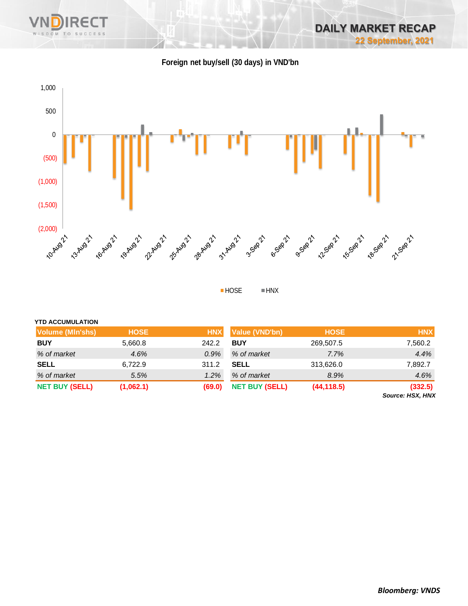

## **Foreign net buy/sell (30 days) in VND'bn**

WISDOM TO

SUCCESS



HOSE HNX

| <b>YTD ACCUMULATION</b> |             |            |                       |             |                                    |
|-------------------------|-------------|------------|-----------------------|-------------|------------------------------------|
| Volume (MIn'shs)        | <b>HOSE</b> | <b>HNX</b> | Value (VND'bn)        | <b>HOSE</b> | <b>HNX</b>                         |
| <b>BUY</b>              | 5,660.8     | 242.2      | <b>BUY</b>            | 269,507.5   | 7,560.2                            |
| % of market             | 4.6%        | $0.9\%$    | % of market           | 7.7%        | 4.4%                               |
| <b>SELL</b>             | 6,722.9     | 311.2      | <b>SELL</b>           | 313,626.0   | 7,892.7                            |
| % of market             | 5.5%        | $1.2\%$    | % of market           | 8.9%        | 4.6%                               |
| <b>NET BUY (SELL)</b>   | (1,062.1)   | (69.0)     | <b>NET BUY (SELL)</b> | (44, 118.5) | (332.5)<br><b>Source: HSX, HNX</b> |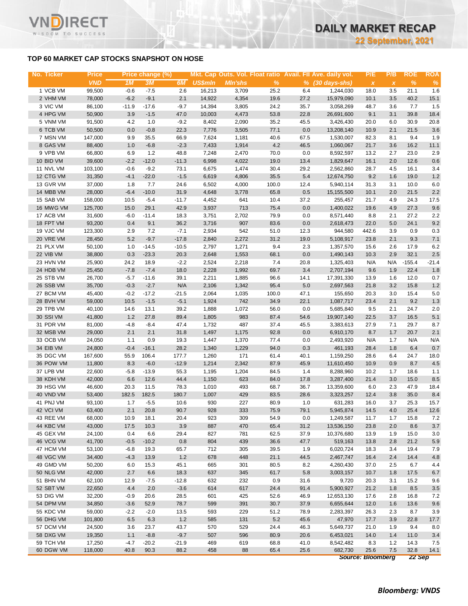### **TOP 60 MARKET CAP STOCKS SNAPSHOT ON HOSE**

**RECT** 

WISDOM TO SUCCESS

Vľ

| No. Ticker | <b>Price</b> |         | Price change (%) |         |                |                |       |         | Mkt. Cap Outs. Vol. Float ratio Avail. Fll Ave. daily vol. | P/E                       | P/B          | <b>ROE</b> | <b>ROA</b> |
|------------|--------------|---------|------------------|---------|----------------|----------------|-------|---------|------------------------------------------------------------|---------------------------|--------------|------------|------------|
|            | <b>VND</b>   | 1M      | 3M               | 6M      | <b>US\$mln</b> | <b>MIn'shs</b> | $\%$  |         | $%$ $(30 \text{ days-shs})$                                | $\boldsymbol{\mathsf{x}}$ | $\pmb{\chi}$ | $\%$       | $\%$       |
| 1 VCB VM   | 99,500       | $-0.6$  | $-7.5$           | 2.6     | 16,213         | 3,709          | 25.2  | 6.4     | 1,244,030                                                  | 18.0                      | 3.5          | 21.1       | 1.6        |
| 2 VHM VM   | 78,000       | $-6.2$  | $-9.1$           | 2.1     | 14,922         | 4,354          | 19.6  | 27.2    | 15,979,090                                                 | 10.1                      | 3.5          | 40.2       | 15.1       |
| 3 VIC VM   | 86,100       | $-11.9$ | $-17.6$          | $-9.7$  | 14,394         | 3,805          | 24.2  | 35.7    | 3,058,269                                                  | 48.7                      | 3.6          | 7.7        | 1.5        |
| 4 HPG VM   | 50,900       | 3.9     | $-1.5$           | 47.0    | 10,003         | 4,473          | 53.8  | 22.8    | 26,691,600                                                 | 9.1                       | 3.1          | 39.8       | 18.4       |
| 5 VNM VM   | 91,500       | 4.2     | 1.0              | $-9.2$  | 8,402          | 2,090          | 35.2  | 45.5    | 3,426,430                                                  | 20.0                      | 6.0          | 30.9       | 20.8       |
| 6 TCB VM   | 50,500       | 0.0     | $-0.8$           | 22.3    | 7,776          | 3,505          | 77.1  | 0.0     | 13,208,140                                                 | 10.9                      | 2.1          | 21.5       | 3.6        |
| 7 MSN VM   | 147,000      | 9.9     | 35.5             | 66.9    | 7,624          | 1,181          | 40.6  | 67.5    | 1,530,007                                                  | 82.3                      | 8.1          | 9.4        | 1.9        |
| 8 GAS VM   | 88,400       | 1.0     | $-6.8$           | $-2.3$  | 7,433          | 1,914          | 4.2   | 46.5    | 1,060,067                                                  | 21.7                      | 3.6          | 16.2       | 11.1       |
| 9 VPB VM   | 66,800       | 6.9     | 1.2              | 48.8    | 7,248          | 2,470          | 70.0  | 0.0     | 8,592,597                                                  | 13.2                      | 2.7          | 23.0       | 2.9        |
| 10 BID VM  | 39,600       | $-2.2$  | $-12.0$          | $-11.3$ | 6,998          | 4,022          | 19.0  | 13.4    | 1,829,647                                                  | 16.1                      | 2.0          | 12.6       | 0.6        |
| 11 NVL VM  | 103,100      | $-0.6$  | $-9.2$           | 73.1    | 6,675          | 1,474          | 30.4  | 29.2    | 2,562,860                                                  | 28.7                      | 4.5          | 16.1       | 3.4        |
| 12 CTG VM  | 31,350       | $-4.1$  | $-22.0$          | $-1.5$  | 6,619          | 4,806          | 35.5  | 5.4     | 12,674,750                                                 | 9.2                       | 1.6          | 19.0       | $1.2$      |
| 13 GVR VM  | 37,000       | 1.8     | 7.7              | 24.6    | 6,502          | 4,000          | 100.0 | 12.4    | 5,940,114                                                  | 31.3                      | 3.1          | 10.0       | $6.0\,$    |
| 14 MBB VM  | 28,000       | $-6.4$  | $-10.0$          | 31.9    | 4,648          | 3,778          | 65.8  | 0.5     | 15,155,500                                                 | 10.1                      | 2.0          | 21.5       | $2.2\,$    |
| 15 SAB VM  | 158,000      | 10.5    | $-5.4$           | $-11.7$ | 4,452          | 641            | 10.4  | 37.2    | 255,457                                                    | 21.7                      | 4.9          | 24.3       | 17.5       |
| 16 MWG VM  | 125,700      | 15.0    | 29.1             | 42.9    | 3,937          | 713            | 75.4  | 0.0     | 1,400,022                                                  | 19.6                      | 4.9          | 27.3       | 9.6        |
| 17 ACB VM  | 31,600       | $-6.0$  | $-11.4$          | 18.3    | 3,751          | 2,702          | 79.9  | 0.0     | 8,571,440                                                  | 8.8                       | 2.1          | 27.2       | $2.2\,$    |
| 18 FPT VM  | 93,200       | 0.4     | 9.1              | 36.2    | 3,716          | 907            | 83.6  | 0.0     | 2,618,473                                                  | 22.0                      | 5.0          | 24.1       | 9.2        |
| 19 VJC VM  | 123,300      | 2.9     | 7.2              | $-7.1$  | 2,934          | 542            | 51.0  | 12.3    | 944,580                                                    | 442.6                     | 3.9          | 0.9        | 0.3        |
| 20 VRE VM  | 28,450       | 5.2     | $-9.7$           | $-17.8$ | 2,840          | 2,272          | 31.2  | 19.0    | 5,108,917                                                  | 23.8                      | 2.1          | 9.3        | 7.1        |
| 21 PLX VM  | 50,100       | 1.0     | $-14.5$          | $-10.5$ | 2,797          | 1,271          | 9.4   | 2.3     | 1,357,570                                                  | 15.6                      | 2.6          | 17.9       | 6.2        |
| 22 VIB VM  | 38,800       | 0.3     | $-23.3$          | 20.3    | 2,648          | 1,553          | 68.1  | $0.0\,$ | 1,490,143                                                  | 10.3                      | 2.9          | 32.1       | $2.5\,$    |
| 23 HVN VM  | 25,900       | 24.2    | 18.9             | $-2.2$  | 2,524          | 2,218          | 7.4   | 20.8    | 1,325,403                                                  | N/A                       | N/A          | $-155.4$   | $-21.4$    |
| 24 HDB VM  | 25,450       | $-7.8$  | $-7.4$           | 18.0    | 2,228          | 1,992          | 69.7  | 3.4     | 2,707,194                                                  | 9.6                       | 1.9          | 22.4       | 1.8        |
| 25 STB VM  | 26,700       | $-5.7$  | $-11.6$          | 39.1    | 2,211          | 1,885          | 96.6  | 14.1    | 17,391,330                                                 | 13.9                      | 1.6          | 12.0       | 0.7        |
| 26 SSB VM  | 35,700       | $-0.3$  | $-2.7$           | N/A     | 2,106          | 1,342          | 95.4  | 5.0     | 2,697,563                                                  | 21.8                      | 3.2          | 15.8       | 1.2        |
| 27 BCM VM  | 45,400       | $-0.2$  | $-17.2$          | $-21.5$ | 2,064          | 1,035          | 100.0 | 47.1    | 155,650                                                    | 20.3                      | 3.0          | 15.4       | 5.0        |
| 28 BVH VM  | 59,000       | 10.5    | $-1.5$           | $-5.1$  | 1,924          | 742            | 34.9  | 22.1    | 1,087,717                                                  | 23.4                      | 2.1          | 9.2        | 1.3        |
| 29 TPB VM  | 40,100       | 14.6    | 13.1             | 39.2    | 1,888          | 1,072          | 56.0  | 0.0     | 5,685,840                                                  | 9.5                       | 2.1          | 24.7       | 2.0        |
| 30 SSI VM  | 41,800       | 1.2     | 27.8             | 89.4    | 1,805          | 983            | 87.4  | 54.6    | 19,907,140                                                 | 22.5                      | 3.7          | 16.5       | 5.1        |
| 31 PDR VM  | 81,000       | $-4.8$  | $-8.4$           | 47.4    | 1,732          | 487            | 37.4  | 45.5    | 3,383,613                                                  | 27.9                      | 7.1          | 29.7       | 8.7        |
| 32 MSB VM  | 29,000       | 2.1     | 2.1              | 31.8    | 1,497          | 1,175          | 92.8  | 0.0     | 6,910,170                                                  | 8.7                       | 1.7          | 20.7       | 2.1        |
| 33 OCB VM  | 24,050       | 1.1     | 0.9              | 19.3    | 1,447          | 1,370          | 77.4  | 0.0     | 2,493,920                                                  | N/A                       | 1.7          | N/A        | N/A        |
| 34 EIB VM  | 24,800       | $-0.4$  | $-16.1$          | 28.2    | 1,340          | 1,229          | 94.0  | 0.3     | 461,193                                                    | 28.4                      | 1.8          | 6.4        | $0.7\,$    |
| 35 DGC VM  | 167,600      | 55.9    | 106.4            | 177.7   | 1,260          | 171            | 61.4  | 40.1    | 1,159,250                                                  | 28.6                      | 6.4          | 24.7       | 18.0       |
| 36 POW VM  | 11,800       | 8.3     | $-6.0$           | $-12.9$ | 1,214          | 2,342          | 87.9  | 45.9    | 11,610,450                                                 | 10.9                      | 0.9          | 8.7        | 4.5        |
| 37 LPB VM  | 22,600       | $-5.8$  | $-13.9$          | 55.3    | 1,195          | 1,204          | 84.5  | 1.4     | 8,288,960                                                  | 10.2                      | 1.7          | 18.6       | 1.1        |
| 38 KDH VM  | 42,000       | 6.6     | 12.6             | 44.4    | 1,150          | 623            | 84.0  | 17.8    | 3,287,400                                                  | 21.4                      | 3.0          | 15.0       | 8.5        |
| 39 HSG VM  | 46,600       | 20.3    | 11.5             | 78.3    | 1,010          | 493            | 68.7  | 36.7    | 13,359,600                                                 | 6.0                       | 2.3          | 47.9       | 18.4       |
| 40 VND VM  | 53,400       | 182.5   | 182.5            | 180.7   | 1,007          | 429            | 83.5  | 28.6    | 3,323,257                                                  | 12.4                      | 3.8          | 35.0       | 8.4        |
| 41 PNJ VM  | 93,100       | 1.7     | $-5.5$           | 10.6    | 930            | 227            | 80.9  | 1.0     | 631,283                                                    | 16.0                      | 3.7          | 25.3       | 15.7       |
| 42 VCI VM  | 63,400       | 2.1     | 20.8             | 90.7    | 928            | 333            | 75.9  | 79.1    | 5,945,874                                                  | 14.5                      | 4.0          | 25.4       | 12.6       |
| 43 REE VM  | 68,000       | 10.9    | 18.1             | 20.4    | 923            | 309            | 54.9  | 0.0     | 1,249,587                                                  | 11.7                      | 1.7          | 15.8       | 7.2        |
| 44 KBC VM  | 43,000       | 17.5    | 10.3             | 3.9     | 887            | 470            | 65.4  | 31.2    | 13,536,150                                                 | 23.8                      | 2.0          | 8.6        | 3.7        |
| 45 GEX VM  | 24,100       | 0.4     | 6.6              | 29.4    | 827            | 781            | 62.5  | 37.9    | 10,376,680                                                 | 13.9                      | 1.9          | 15.0       | 3.0        |
| 46 VCG VM  | 41,700       | $-0.5$  | $-10.2$          | 0.8     | 804            | 439            | 36.6  | 47.7    | 519,163                                                    | 13.8                      | 2.8          | 21.2       | 5.9        |
| 47 HCM VM  | 53,100       | $-6.8$  | 19.3             | 65.7    | 712            | 305            | 39.5  | 1.9     | 6,020,724                                                  | 18.3                      | 3.4          | 19.4       | 7.9        |
| 48 VGC VM  | 34,400       | $-4.3$  | 13.9             | 1.2     | 678            | 448            | 21.1  | 44.5    | 2,467,747                                                  | 16.4                      | 2.4          | 14.4       | 4.8        |
| 49 GMD VM  | 50,200       | 6.0     | 15.3             | 45.1    | 665            | 301            | 80.5  | 8.2     | 4,260,430                                                  | 37.0                      | 2.5          | 6.7        | 4.4        |
| 50 NLG VM  | 42,000       | 2.7     | 6.6              | 18.3    | 637            | 345            | 61.7  | 5.8     | 3,003,157                                                  | 10.7                      | 1.8          | 17.5       | 6.7        |
| 51 BHN VM  | 62,100       | 12.9    | $-7.5$           | $-12.8$ | 632            | 232            | 0.9   | 31.6    | 9,720                                                      | 20.3                      | 3.1          | 15.2       | 9.6        |
| 52 SBT VM  | 22,650       | 4.4     | 2.0              | $-3.6$  | 614            | 617            | 24.4  | 91.4    | 5,900,927                                                  | 21.2                      | 1.8          | 8.5        | 3.5        |
| 53 DIG VM  | 32,200       | $-0.9$  | 20.6             | 28.5    | 601            | 425            | 52.6  | 46.9    | 12,653,130                                                 | 17.6                      | 2.8          | 16.8       | 7.2        |
| 54 DPM VM  | 34,850       | $-3.6$  | 52.9             | 78.7    | 599            | 391            | 30.7  | 37.9    | 6,655,644                                                  | 12.0                      | 1.6          | 13.6       | 9.6        |
| 55 KDC VM  | 59,000       | $-2.2$  | $-2.0$           | 13.5    | 593            | 229            | 51.2  | 78.9    | 2,283,397                                                  | 26.3                      | 2.3          | 8.7        | 3.9        |
| 56 DHG VM  | 101,800      | 6.5     | 6.3              | 1.2     | 585            | 131            | 5.2   | 45.6    | 47,970                                                     | 17.7                      | 3.9          | 22.8       | 17.7       |
| 57 DCM VM  | 24,500       | 3.6     | 23.7             | 43.7    | 570            | 529            | 24.4  | 46.3    | 5,649,737                                                  | 21.0                      | 1.9          | 9.4        | 8.0        |
| 58 DXG VM  | 19,350       | 1.1     | $-8.8$           | $-9.7$  | 507            | 596            | 80.9  | 20.6    | 6,453,021                                                  | 14.0                      | 1.4          | 11.0       | 3.4        |
| 59 TCH VM  | 17,250       | $-4.7$  | $-20.2$          | $-21.9$ | 469            | 619            | 68.8  | 41.0    | 8,542,482                                                  | 8.3                       | 1.2          | 14.3       | 7.5        |
| 60 DGW VM  | 118,000      | 40.8    | 90.3             | 88.2    | 458            | 88             | 65.4  | 25.6    | 682,730                                                    | 25.6                      | 7.5          | 32.8       | 14.1       |
|            |              |         |                  |         |                |                |       |         |                                                            | Source: Bloomberg         |              |            | 22 Sep     |